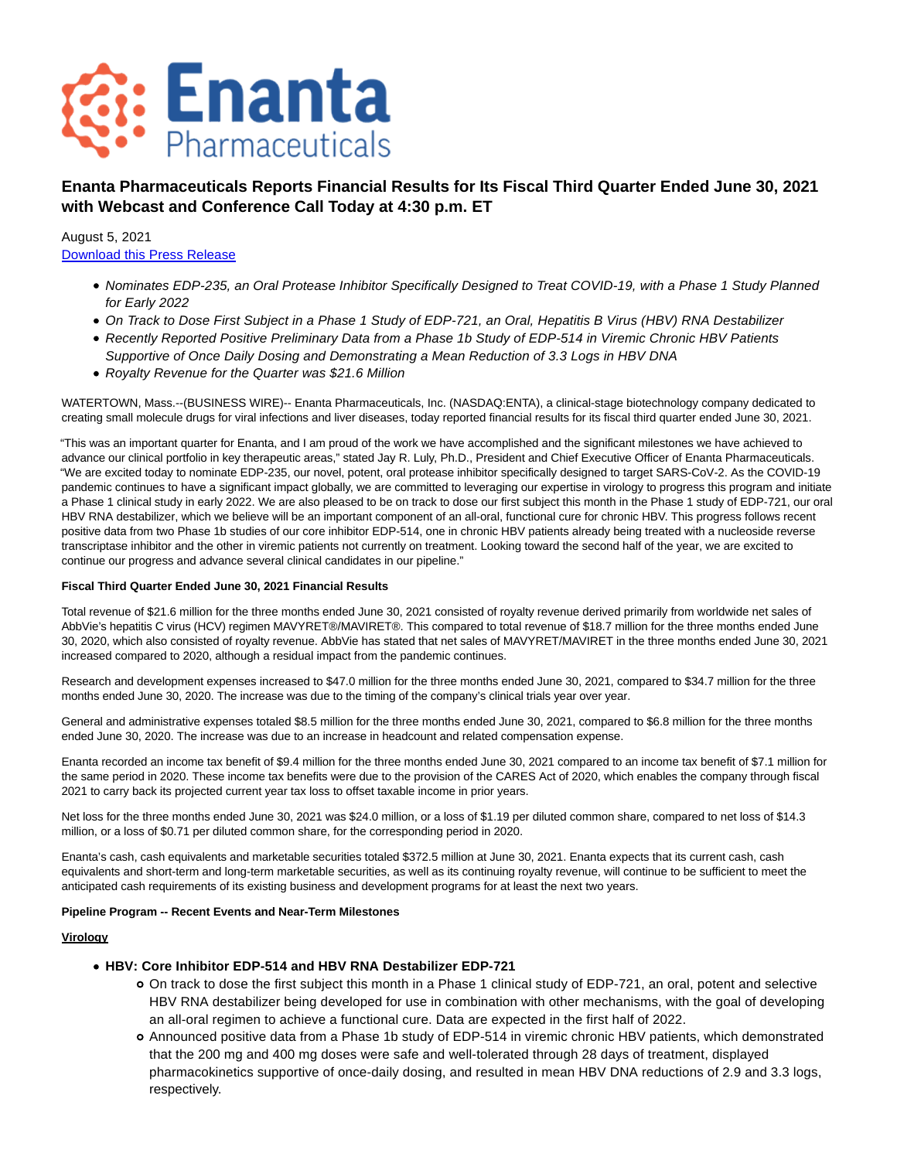

# **Enanta Pharmaceuticals Reports Financial Results for Its Fiscal Third Quarter Ended June 30, 2021 with Webcast and Conference Call Today at 4:30 p.m. ET**

August 5, 2021 [Download this Press Release](https://ir.enanta.com/s22.q4cdn.com/306858242/files/doc_news/Enanta-Pharmaceuticals-Reports-Financial-Results-for-Its-Fiscal-Third-Quarter-Ended-June-30-2021-with-Webcast-and-Conference-Call-Tod-LC6TX.pdf)

- Nominates EDP-235, an Oral Protease Inhibitor Specifically Designed to Treat COVID-19, with a Phase 1 Study Planned for Early 2022
- On Track to Dose First Subject in a Phase 1 Study of EDP-721, an Oral, Hepatitis B Virus (HBV) RNA Destabilizer
- Recently Reported Positive Preliminary Data from a Phase 1b Study of EDP-514 in Viremic Chronic HBV Patients Supportive of Once Daily Dosing and Demonstrating a Mean Reduction of 3.3 Logs in HBV DNA
- Royalty Revenue for the Quarter was \$21.6 Million

WATERTOWN, Mass.--(BUSINESS WIRE)-- Enanta Pharmaceuticals, Inc. (NASDAQ:ENTA), a clinical-stage biotechnology company dedicated to creating small molecule drugs for viral infections and liver diseases, today reported financial results for its fiscal third quarter ended June 30, 2021.

"This was an important quarter for Enanta, and I am proud of the work we have accomplished and the significant milestones we have achieved to advance our clinical portfolio in key therapeutic areas," stated Jay R. Luly, Ph.D., President and Chief Executive Officer of Enanta Pharmaceuticals. "We are excited today to nominate EDP-235, our novel, potent, oral protease inhibitor specifically designed to target SARS-CoV-2. As the COVID-19 pandemic continues to have a significant impact globally, we are committed to leveraging our expertise in virology to progress this program and initiate a Phase 1 clinical study in early 2022. We are also pleased to be on track to dose our first subject this month in the Phase 1 study of EDP-721, our oral HBV RNA destabilizer, which we believe will be an important component of an all-oral, functional cure for chronic HBV. This progress follows recent positive data from two Phase 1b studies of our core inhibitor EDP-514, one in chronic HBV patients already being treated with a nucleoside reverse transcriptase inhibitor and the other in viremic patients not currently on treatment. Looking toward the second half of the year, we are excited to continue our progress and advance several clinical candidates in our pipeline."

#### **Fiscal Third Quarter Ended June 30, 2021 Financial Results**

Total revenue of \$21.6 million for the three months ended June 30, 2021 consisted of royalty revenue derived primarily from worldwide net sales of AbbVie's hepatitis C virus (HCV) regimen MAVYRET®/MAVIRET®. This compared to total revenue of \$18.7 million for the three months ended June 30, 2020, which also consisted of royalty revenue. AbbVie has stated that net sales of MAVYRET/MAVIRET in the three months ended June 30, 2021 increased compared to 2020, although a residual impact from the pandemic continues.

Research and development expenses increased to \$47.0 million for the three months ended June 30, 2021, compared to \$34.7 million for the three months ended June 30, 2020. The increase was due to the timing of the company's clinical trials year over year.

General and administrative expenses totaled \$8.5 million for the three months ended June 30, 2021, compared to \$6.8 million for the three months ended June 30, 2020. The increase was due to an increase in headcount and related compensation expense.

Enanta recorded an income tax benefit of \$9.4 million for the three months ended June 30, 2021 compared to an income tax benefit of \$7.1 million for the same period in 2020. These income tax benefits were due to the provision of the CARES Act of 2020, which enables the company through fiscal 2021 to carry back its projected current year tax loss to offset taxable income in prior years.

Net loss for the three months ended June 30, 2021 was \$24.0 million, or a loss of \$1.19 per diluted common share, compared to net loss of \$14.3 million, or a loss of \$0.71 per diluted common share, for the corresponding period in 2020.

Enanta's cash, cash equivalents and marketable securities totaled \$372.5 million at June 30, 2021. Enanta expects that its current cash, cash equivalents and short-term and long-term marketable securities, as well as its continuing royalty revenue, will continue to be sufficient to meet the anticipated cash requirements of its existing business and development programs for at least the next two years.

#### **Pipeline Program -- Recent Events and Near-Term Milestones**

#### **Virology**

# **HBV: Core Inhibitor EDP-514 and HBV RNA Destabilizer EDP-721**

- On track to dose the first subject this month in a Phase 1 clinical study of EDP-721, an oral, potent and selective HBV RNA destabilizer being developed for use in combination with other mechanisms, with the goal of developing an all-oral regimen to achieve a functional cure. Data are expected in the first half of 2022.
- Announced positive data from a Phase 1b study of EDP-514 in viremic chronic HBV patients, which demonstrated that the 200 mg and 400 mg doses were safe and well-tolerated through 28 days of treatment, displayed pharmacokinetics supportive of once-daily dosing, and resulted in mean HBV DNA reductions of 2.9 and 3.3 logs, respectively.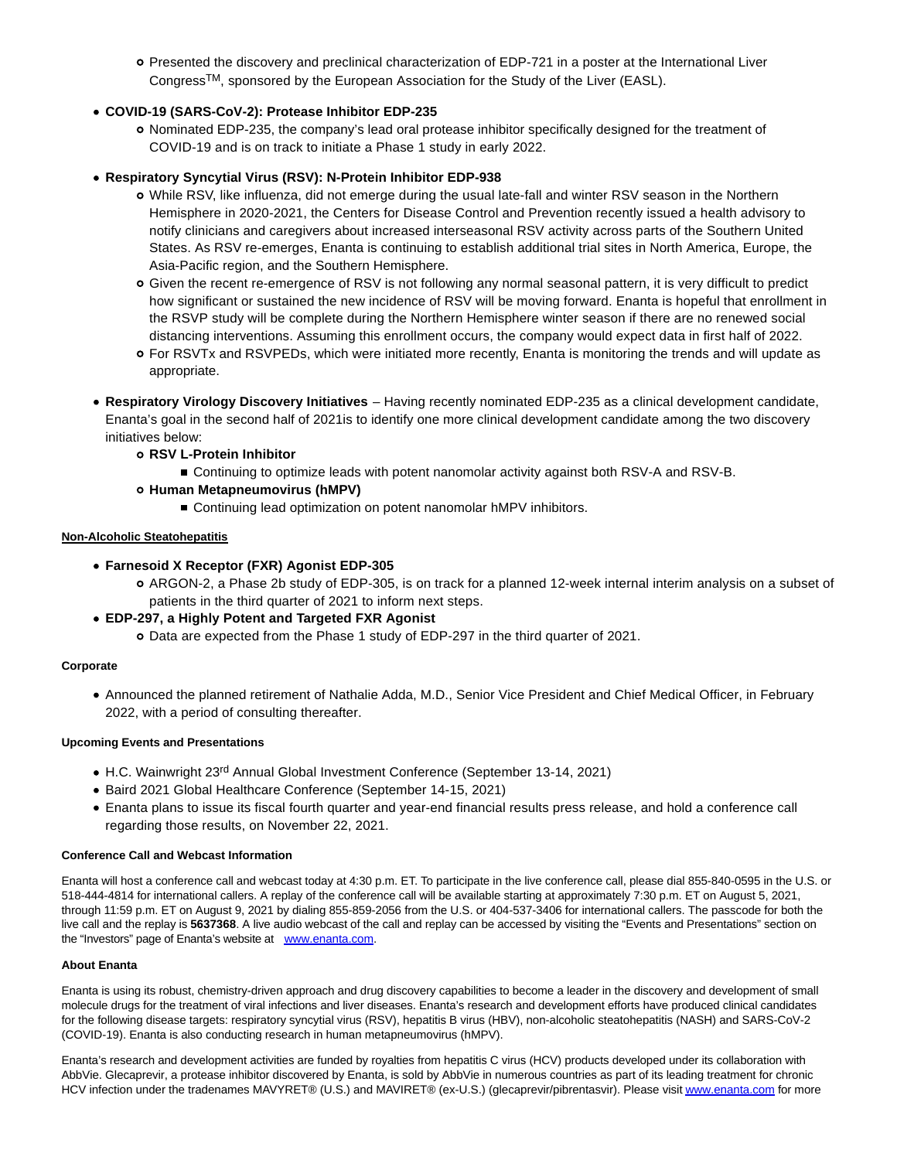Presented the discovery and preclinical characterization of EDP-721 in a poster at the International Liver CongressTM, sponsored by the European Association for the Study of the Liver (EASL).

# **COVID-19 (SARS-CoV-2): Protease Inhibitor EDP-235**

o Nominated EDP-235, the company's lead oral protease inhibitor specifically designed for the treatment of COVID-19 and is on track to initiate a Phase 1 study in early 2022.

### **Respiratory Syncytial Virus (RSV): N-Protein Inhibitor EDP-938**

- While RSV, like influenza, did not emerge during the usual late-fall and winter RSV season in the Northern Hemisphere in 2020-2021, the Centers for Disease Control and Prevention recently issued a health advisory to notify clinicians and caregivers about increased interseasonal RSV activity across parts of the Southern United States. As RSV re-emerges, Enanta is continuing to establish additional trial sites in North America, Europe, the Asia-Pacific region, and the Southern Hemisphere.
- Given the recent re-emergence of RSV is not following any normal seasonal pattern, it is very difficult to predict how significant or sustained the new incidence of RSV will be moving forward. Enanta is hopeful that enrollment in the RSVP study will be complete during the Northern Hemisphere winter season if there are no renewed social distancing interventions. Assuming this enrollment occurs, the company would expect data in first half of 2022.
- For RSVTx and RSVPEDs, which were initiated more recently, Enanta is monitoring the trends and will update as appropriate.
- **Respiratory Virology Discovery Initiatives**  Having recently nominated EDP-235 as a clinical development candidate, Enanta's goal in the second half of 2021is to identify one more clinical development candidate among the two discovery initiatives below:
	- **RSV L-Protein Inhibitor**
		- **Continuing to optimize leads with potent nanomolar activity against both RSV-A and RSV-B.**
	- **Human Metapneumovirus (hMPV)**
		- Continuing lead optimization on potent nanomolar hMPV inhibitors.

### **Non-Alcoholic Steatohepatitis**

- **Farnesoid X Receptor (FXR) Agonist EDP-305**
	- ARGON-2, a Phase 2b study of EDP-305, is on track for a planned 12-week internal interim analysis on a subset of patients in the third quarter of 2021 to inform next steps.
- **EDP-297, a Highly Potent and Targeted FXR Agonist**
	- Data are expected from the Phase 1 study of EDP-297 in the third quarter of 2021.

### **Corporate**

Announced the planned retirement of Nathalie Adda, M.D., Senior Vice President and Chief Medical Officer, in February 2022, with a period of consulting thereafter.

### **Upcoming Events and Presentations**

- H.C. Wainwright 23<sup>rd</sup> Annual Global Investment Conference (September 13-14, 2021)
- Baird 2021 Global Healthcare Conference (September 14-15, 2021)
- Enanta plans to issue its fiscal fourth quarter and year-end financial results press release, and hold a conference call regarding those results, on November 22, 2021.

### **Conference Call and Webcast Information**

Enanta will host a conference call and webcast today at 4:30 p.m. ET. To participate in the live conference call, please dial 855-840-0595 in the U.S. or 518-444-4814 for international callers. A replay of the conference call will be available starting at approximately 7:30 p.m. ET on August 5, 2021, through 11:59 p.m. ET on August 9, 2021 by dialing 855-859-2056 from the U.S. or 404-537-3406 for international callers. The passcode for both the live call and the replay is **5637368**. A live audio webcast of the call and replay can be accessed by visiting the "Events and Presentations" section on the "Investors" page of Enanta's website at [www.enanta.com.](https://cts.businesswire.com/ct/CT?id=smartlink&url=http%3A%2F%2Fwww.enanta.com&esheet=52472476&newsitemid=20210805005808&lan=en-US&anchor=www.enanta.com&index=1&md5=f382bf97dc6d34bd03b710066277a1c7)

### **About Enanta**

Enanta is using its robust, chemistry-driven approach and drug discovery capabilities to become a leader in the discovery and development of small molecule drugs for the treatment of viral infections and liver diseases. Enanta's research and development efforts have produced clinical candidates for the following disease targets: respiratory syncytial virus (RSV), hepatitis B virus (HBV), non-alcoholic steatohepatitis (NASH) and SARS-CoV-2 (COVID-19). Enanta is also conducting research in human metapneumovirus (hMPV).

Enanta's research and development activities are funded by royalties from hepatitis C virus (HCV) products developed under its collaboration with AbbVie. Glecaprevir, a protease inhibitor discovered by Enanta, is sold by AbbVie in numerous countries as part of its leading treatment for chronic HCV infection under the tradenames MAVYRET® (U.S.) and MAVIRET® (ex-U.S.) (glecaprevir/pibrentasvir). Please visi[t www.enanta.com f](https://cts.businesswire.com/ct/CT?id=smartlink&url=http%3A%2F%2Fwww.enanta.com&esheet=52472476&newsitemid=20210805005808&lan=en-US&anchor=www.enanta.com&index=2&md5=0d54fa9969dfd8f015d13fba3551b7e1)or more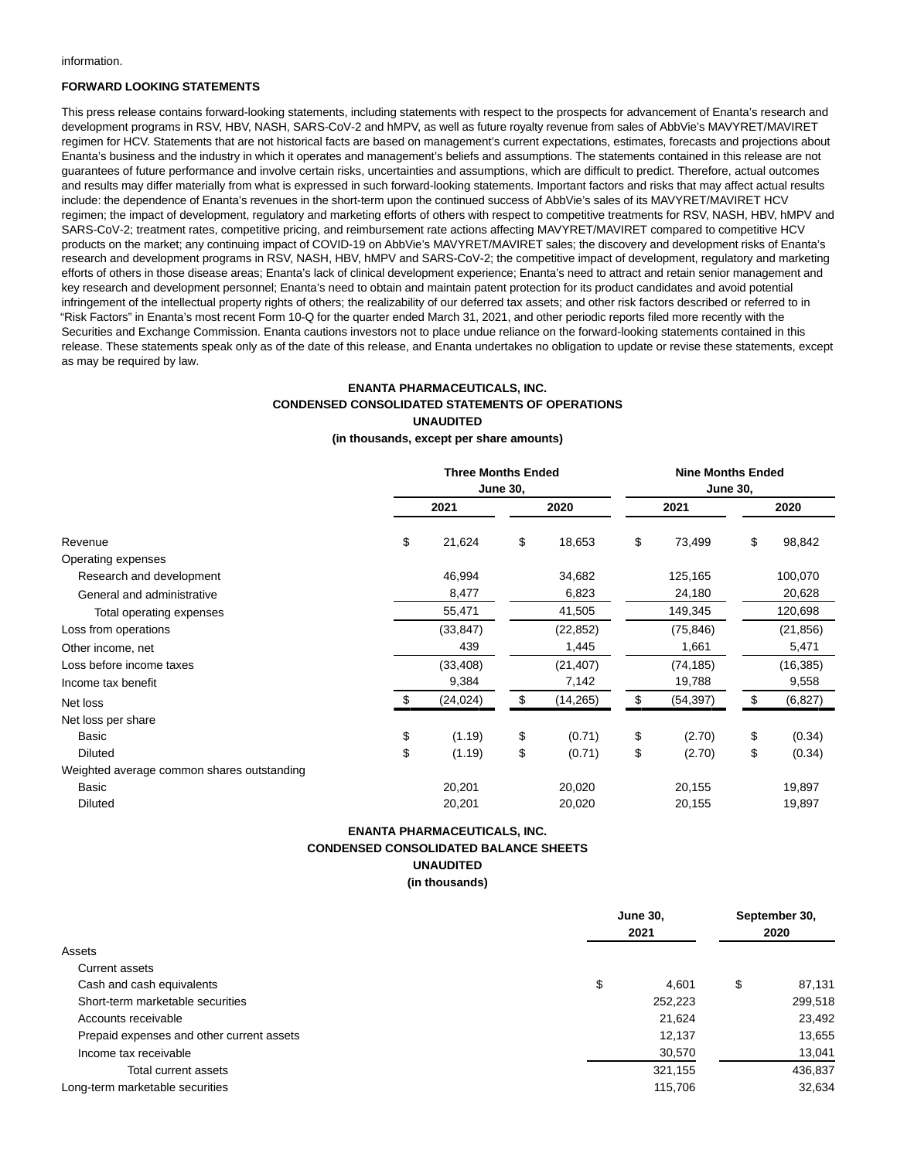information.

#### **FORWARD LOOKING STATEMENTS**

This press release contains forward-looking statements, including statements with respect to the prospects for advancement of Enanta's research and development programs in RSV, HBV, NASH, SARS-CoV-2 and hMPV, as well as future royalty revenue from sales of AbbVie's MAVYRET/MAVIRET regimen for HCV. Statements that are not historical facts are based on management's current expectations, estimates, forecasts and projections about Enanta's business and the industry in which it operates and management's beliefs and assumptions. The statements contained in this release are not guarantees of future performance and involve certain risks, uncertainties and assumptions, which are difficult to predict. Therefore, actual outcomes and results may differ materially from what is expressed in such forward-looking statements. Important factors and risks that may affect actual results include: the dependence of Enanta's revenues in the short-term upon the continued success of AbbVie's sales of its MAVYRET/MAVIRET HCV regimen; the impact of development, regulatory and marketing efforts of others with respect to competitive treatments for RSV, NASH, HBV, hMPV and SARS-CoV-2; treatment rates, competitive pricing, and reimbursement rate actions affecting MAVYRET/MAVIRET compared to competitive HCV products on the market; any continuing impact of COVID-19 on AbbVie's MAVYRET/MAVIRET sales; the discovery and development risks of Enanta's research and development programs in RSV, NASH, HBV, hMPV and SARS-CoV-2; the competitive impact of development, regulatory and marketing efforts of others in those disease areas; Enanta's lack of clinical development experience; Enanta's need to attract and retain senior management and key research and development personnel; Enanta's need to obtain and maintain patent protection for its product candidates and avoid potential infringement of the intellectual property rights of others; the realizability of our deferred tax assets; and other risk factors described or referred to in "Risk Factors" in Enanta's most recent Form 10-Q for the quarter ended March 31, 2021, and other periodic reports filed more recently with the Securities and Exchange Commission. Enanta cautions investors not to place undue reliance on the forward-looking statements contained in this release. These statements speak only as of the date of this release, and Enanta undertakes no obligation to update or revise these statements, except as may be required by law.

# **ENANTA PHARMACEUTICALS, INC. CONDENSED CONSOLIDATED STATEMENTS OF OPERATIONS UNAUDITED**

#### **(in thousands, except per share amounts)**

|                                            | <b>Three Months Ended</b> |           |    | <b>Nine Months Ended</b><br><b>June 30,</b> |    |           |    |           |
|--------------------------------------------|---------------------------|-----------|----|---------------------------------------------|----|-----------|----|-----------|
|                                            | <b>June 30,</b>           |           |    |                                             |    |           |    |           |
|                                            |                           | 2021      |    | 2020                                        |    | 2021      |    | 2020      |
| Revenue                                    | \$                        | 21,624    | \$ | 18,653                                      | \$ | 73,499    | \$ | 98,842    |
| Operating expenses                         |                           |           |    |                                             |    |           |    |           |
| Research and development                   |                           | 46,994    |    | 34,682                                      |    | 125,165   |    | 100,070   |
| General and administrative                 |                           | 8,477     |    | 6,823                                       |    | 24,180    |    | 20,628    |
| Total operating expenses                   |                           | 55,471    |    | 41,505                                      |    | 149,345   |    | 120,698   |
| Loss from operations                       |                           | (33, 847) |    | (22, 852)                                   |    | (75, 846) |    | (21, 856) |
| Other income, net                          |                           | 439       |    | 1,445                                       |    | 1,661     |    | 5,471     |
| Loss before income taxes                   |                           | (33, 408) |    | (21, 407)                                   |    | (74, 185) |    | (16, 385) |
| Income tax benefit                         |                           | 9,384     |    | 7,142                                       |    | 19,788    |    | 9,558     |
| Net loss                                   |                           | (24, 024) | \$ | (14, 265)                                   | \$ | (54, 397) | S  | (6, 827)  |
| Net loss per share                         |                           |           |    |                                             |    |           |    |           |
| Basic                                      | \$                        | (1.19)    | \$ | (0.71)                                      | \$ | (2.70)    | \$ | (0.34)    |
| <b>Diluted</b>                             | \$                        | (1.19)    | \$ | (0.71)                                      | \$ | (2.70)    | \$ | (0.34)    |
| Weighted average common shares outstanding |                           |           |    |                                             |    |           |    |           |
| Basic                                      |                           | 20,201    |    | 20,020                                      |    | 20,155    |    | 19,897    |
| <b>Diluted</b>                             |                           | 20,201    |    | 20,020                                      |    | 20,155    |    | 19,897    |

### **ENANTA PHARMACEUTICALS, INC. CONDENSED CONSOLIDATED BALANCE SHEETS UNAUDITED (in thousands)**

|                                           | <b>June 30,</b><br>2021 |         |    | September 30,<br>2020 |  |
|-------------------------------------------|-------------------------|---------|----|-----------------------|--|
| Assets                                    |                         |         |    |                       |  |
| <b>Current assets</b>                     |                         |         |    |                       |  |
| Cash and cash equivalents                 | \$                      | 4.601   | \$ | 87,131                |  |
| Short-term marketable securities          |                         | 252,223 |    | 299,518               |  |
| Accounts receivable                       |                         | 21,624  |    | 23,492                |  |
| Prepaid expenses and other current assets |                         | 12,137  |    | 13,655                |  |
| Income tax receivable                     |                         | 30,570  |    | 13,041                |  |
| Total current assets                      |                         | 321,155 |    | 436,837               |  |
| Long-term marketable securities           |                         | 115,706 |    | 32,634                |  |